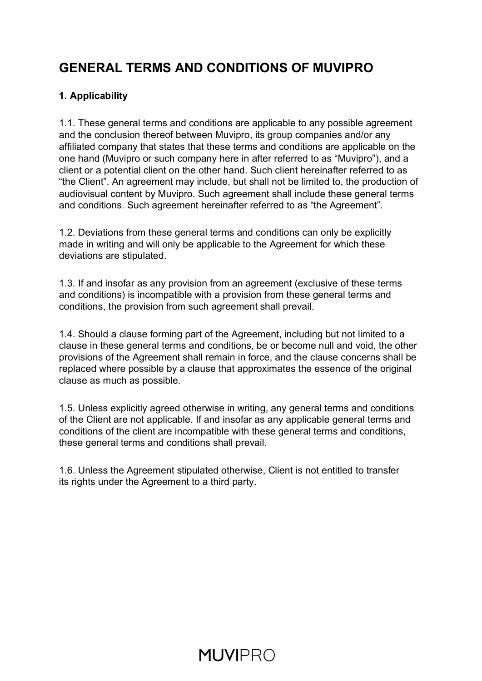### **GENERAL TERMS AND CONDITIONS OF MUVIPRO**

#### **1. Applicability**

1.1. These general terms and conditions are applicable to any possible agreement and the conclusion thereof between Muvipro, its group companies and/or any affiliated company that states that these terms and conditions are applicable on the one hand (Muvipro or such company here in after referred to as "Muvipro"), and a client or a potential client on the other hand. Such client hereinafter referred to as "the Client". An agreement may include, but shall not be limited to, the production of audiovisual content by Muvipro. Such agreement shall include these general terms and conditions. Such agreement hereinafter referred to as "the Agreement".

1.2. Deviations from these general terms and conditions can only be explicitly made in writing and will only be applicable to the Agreement for which these deviations are stipulated.

1.3. If and insofar as any provision from an agreement (exclusive of these terms and conditions) is incompatible with a provision from these general terms and conditions, the provision from such agreement shall prevail.

1.4. Should a clause forming part of the Agreement, including but not limited to a clause in these general terms and conditions, be or become null and void, the other provisions of the Agreement shall remain in force, and the clause concerns shall be replaced where possible by a clause that approximates the essence of the original clause as much as possible.

1.5. Unless explicitly agreed otherwise in writing, any general terms and conditions of the Client are not applicable. If and insofar as any applicable general terms and conditions of the client are incompatible with these general terms and conditions, these general terms and conditions shall prevail.

1.6. Unless the Agreement stipulated otherwise, Client is not entitled to transfer its rights under the Agreement to a third party.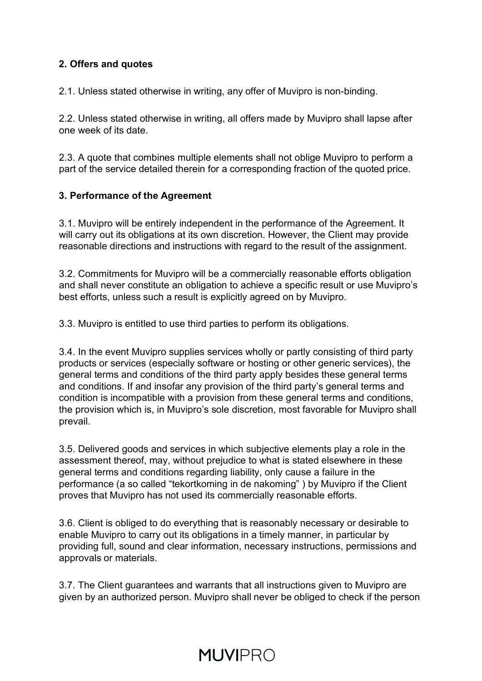#### **2. Offers and quotes**

2.1. Unless stated otherwise in writing, any offer of Muvipro is non-binding.

2.2. Unless stated otherwise in writing, all offers made by Muvipro shall lapse after one week of its date.

2.3. A quote that combines multiple elements shall not oblige Muvipro to perform a part of the service detailed therein for a corresponding fraction of the quoted price.

#### **3. Performance of the Agreement**

3.1. Muvipro will be entirely independent in the performance of the Agreement. It will carry out its obligations at its own discretion. However, the Client may provide reasonable directions and instructions with regard to the result of the assignment.

3.2. Commitments for Muvipro will be a commercially reasonable efforts obligation and shall never constitute an obligation to achieve a specific result or use Muvipro's best efforts, unless such a result is explicitly agreed on by Muvipro.

3.3. Muvipro is entitled to use third parties to perform its obligations.

3.4. In the event Muvipro supplies services wholly or partly consisting of third party products or services (especially software or hosting or other generic services), the general terms and conditions of the third party apply besides these general terms and conditions. If and insofar any provision of the third party's general terms and condition is incompatible with a provision from these general terms and conditions, the provision which is, in Muvipro's sole discretion, most favorable for Muvipro shall prevail.

3.5. Delivered goods and services in which subjective elements play a role in the assessment thereof, may, without prejudice to what is stated elsewhere in these general terms and conditions regarding liability, only cause a failure in the performance (a so called "tekortkoming in de nakoming" ) by Muvipro if the Client proves that Muvipro has not used its commercially reasonable efforts.

3.6. Client is obliged to do everything that is reasonably necessary or desirable to enable Muvipro to carry out its obligations in a timely manner, in particular by providing full, sound and clear information, necessary instructions, permissions and approvals or materials.

3.7. The Client guarantees and warrants that all instructions given to Muvipro are given by an authorized person. Muvipro shall never be obliged to check if the person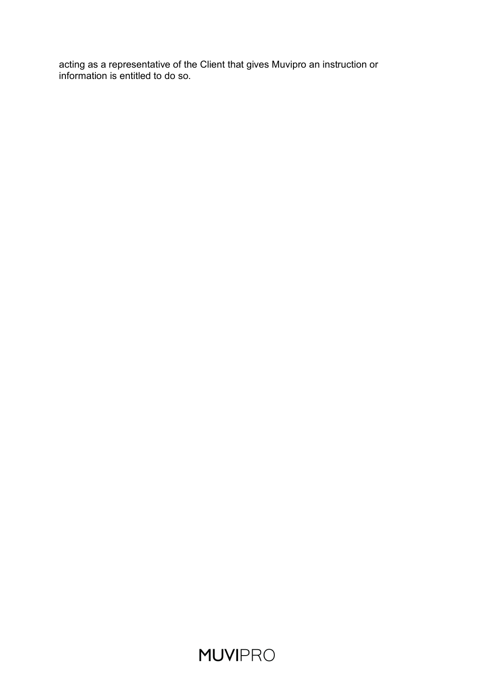acting as a representative of the Client that gives Muvipro an instruction or information is entitled to do so.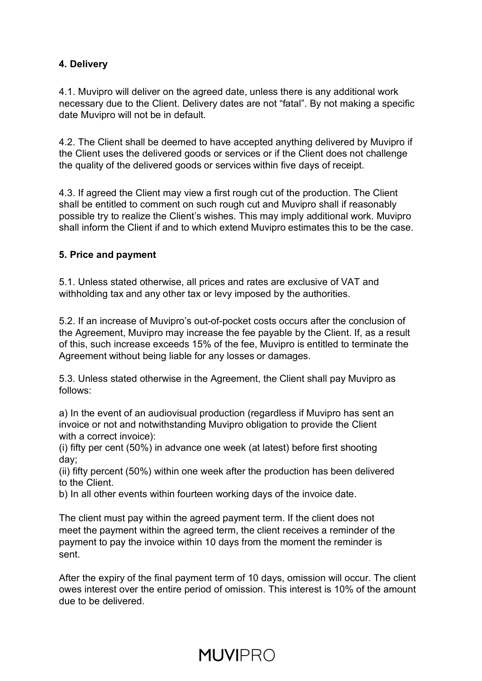#### **4. Delivery**

4.1. Muvipro will deliver on the agreed date, unless there is any additional work necessary due to the Client. Delivery dates are not "fatal". By not making a specific date Muvipro will not be in default.

4.2. The Client shall be deemed to have accepted anything delivered by Muvipro if the Client uses the delivered goods or services or if the Client does not challenge the quality of the delivered goods or services within five days of receipt.

4.3. If agreed the Client may view a first rough cut of the production. The Client shall be entitled to comment on such rough cut and Muvipro shall if reasonably possible try to realize the Client's wishes. This may imply additional work. Muvipro shall inform the Client if and to which extend Muvipro estimates this to be the case.

#### **5. Price and payment**

5.1. Unless stated otherwise, all prices and rates are exclusive of VAT and withholding tax and any other tax or levy imposed by the authorities.

5.2. If an increase of Muvipro's out-of-pocket costs occurs after the conclusion of the Agreement, Muvipro may increase the fee payable by the Client. If, as a result of this, such increase exceeds 15% of the fee, Muvipro is entitled to terminate the Agreement without being liable for any losses or damages.

5.3. Unless stated otherwise in the Agreement, the Client shall pay Muvipro as follows:

a) In the event of an audiovisual production (regardless if Muvipro has sent an invoice or not and notwithstanding Muvipro obligation to provide the Client with a correct invoice):

(i) fifty per cent (50%) in advance one week (at latest) before first shooting day;

(ii) fifty percent (50%) within one week after the production has been delivered to the Client.

b) In all other events within fourteen working days of the invoice date.

The client must pay within the agreed payment term. If the client does not meet the payment within the agreed term, the client receives a reminder of the payment to pay the invoice within 10 days from the moment the reminder is sent.

After the expiry of the final payment term of 10 days, omission will occur. The client owes interest over the entire period of omission. This interest is 10% of the amount due to be delivered.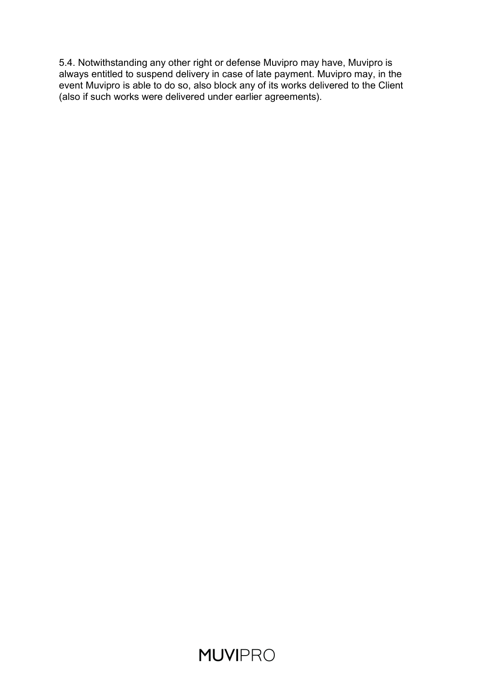5.4. Notwithstanding any other right or defense Muvipro may have, Muvipro is always entitled to suspend delivery in case of late payment. Muvipro may, in the event Muvipro is able to do so, also block any of its works delivered to the Client (also if such works were delivered under earlier agreements).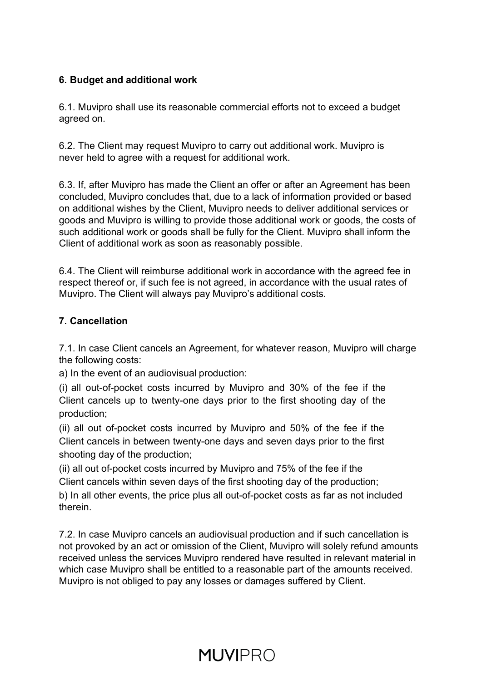#### **6. Budget and additional work**

6.1. Muvipro shall use its reasonable commercial efforts not to exceed a budget agreed on.

6.2. The Client may request Muvipro to carry out additional work. Muvipro is never held to agree with a request for additional work.

6.3. If, after Muvipro has made the Client an offer or after an Agreement has been concluded, Muvipro concludes that, due to a lack of information provided or based on additional wishes by the Client, Muvipro needs to deliver additional services or goods and Muvipro is willing to provide those additional work or goods, the costs of such additional work or goods shall be fully for the Client. Muvipro shall inform the Client of additional work as soon as reasonably possible.

6.4. The Client will reimburse additional work in accordance with the agreed fee in respect thereof or, if such fee is not agreed, in accordance with the usual rates of Muvipro. The Client will always pay Muvipro's additional costs.

#### **7. Cancellation**

7.1. In case Client cancels an Agreement, for whatever reason, Muvipro will charge the following costs:

a) In the event of an audiovisual production:

(i) all out-of-pocket costs incurred by Muvipro and 30% of the fee if the Client cancels up to twenty-one days prior to the first shooting day of the production;

(ii) all out of-pocket costs incurred by Muvipro and 50% of the fee if the Client cancels in between twenty-one days and seven days prior to the first shooting day of the production;

(ii) all out of-pocket costs incurred by Muvipro and 75% of the fee if the Client cancels within seven days of the first shooting day of the production;

b) In all other events, the price plus all out-of-pocket costs as far as not included therein.

7.2. In case Muvipro cancels an audiovisual production and if such cancellation is not provoked by an act or omission of the Client, Muvipro will solely refund amounts received unless the services Muvipro rendered have resulted in relevant material in which case Muvipro shall be entitled to a reasonable part of the amounts received. Muvipro is not obliged to pay any losses or damages suffered by Client.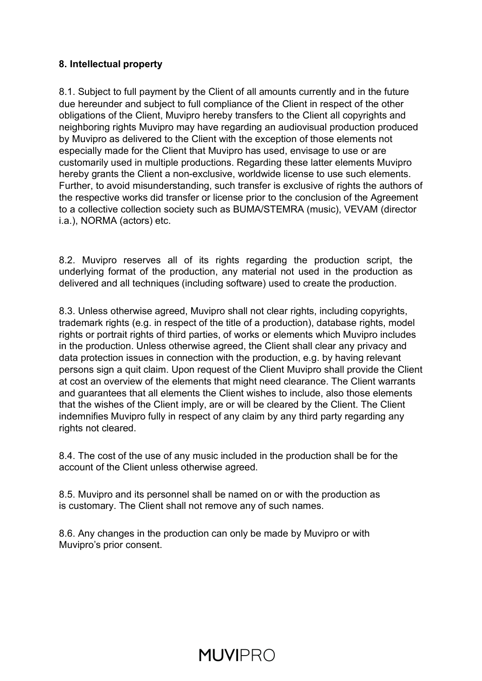#### **8. Intellectual property**

8.1. Subject to full payment by the Client of all amounts currently and in the future due hereunder and subject to full compliance of the Client in respect of the other obligations of the Client, Muvipro hereby transfers to the Client all copyrights and neighboring rights Muvipro may have regarding an audiovisual production produced by Muvipro as delivered to the Client with the exception of those elements not especially made for the Client that Muvipro has used, envisage to use or are customarily used in multiple productions. Regarding these latter elements Muvipro hereby grants the Client a non-exclusive, worldwide license to use such elements. Further, to avoid misunderstanding, such transfer is exclusive of rights the authors of the respective works did transfer or license prior to the conclusion of the Agreement to a collective collection society such as BUMA/STEMRA (music), VEVAM (director i.a.), NORMA (actors) etc.

8.2. Muvipro reserves all of its rights regarding the production script, the underlying format of the production, any material not used in the production as delivered and all techniques (including software) used to create the production.

8.3. Unless otherwise agreed, Muvipro shall not clear rights, including copyrights, trademark rights (e.g. in respect of the title of a production), database rights, model rights or portrait rights of third parties, of works or elements which Muvipro includes in the production. Unless otherwise agreed, the Client shall clear any privacy and data protection issues in connection with the production, e.g. by having relevant persons sign a quit claim. Upon request of the Client Muvipro shall provide the Client at cost an overview of the elements that might need clearance. The Client warrants and guarantees that all elements the Client wishes to include, also those elements that the wishes of the Client imply, are or will be cleared by the Client. The Client indemnifies Muvipro fully in respect of any claim by any third party regarding any rights not cleared.

8.4. The cost of the use of any music included in the production shall be for the account of the Client unless otherwise agreed.

8.5. Muvipro and its personnel shall be named on or with the production as is customary. The Client shall not remove any of such names.

8.6. Any changes in the production can only be made by Muvipro or with Muvipro's prior consent.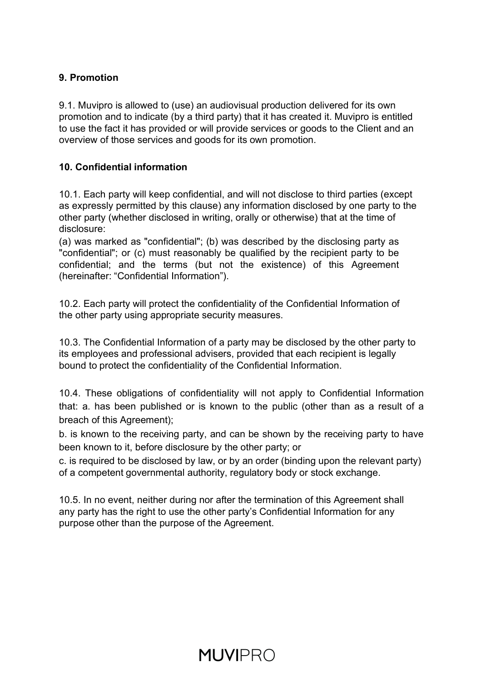#### **9. Promotion**

9.1. Muvipro is allowed to (use) an audiovisual production delivered for its own promotion and to indicate (by a third party) that it has created it. Muvipro is entitled to use the fact it has provided or will provide services or goods to the Client and an overview of those services and goods for its own promotion.

#### **10. Confidential information**

10.1. Each party will keep confidential, and will not disclose to third parties (except as expressly permitted by this clause) any information disclosed by one party to the other party (whether disclosed in writing, orally or otherwise) that at the time of disclosure:

(a) was marked as "confidential"; (b) was described by the disclosing party as "confidential"; or (c) must reasonably be qualified by the recipient party to be confidential; and the terms (but not the existence) of this Agreement (hereinafter: "Confidential Information").

10.2. Each party will protect the confidentiality of the Confidential Information of the other party using appropriate security measures.

10.3. The Confidential Information of a party may be disclosed by the other party to its employees and professional advisers, provided that each recipient is legally bound to protect the confidentiality of the Confidential Information.

10.4. These obligations of confidentiality will not apply to Confidential Information that: a. has been published or is known to the public (other than as a result of a breach of this Agreement);

b. is known to the receiving party, and can be shown by the receiving party to have been known to it, before disclosure by the other party; or

c. is required to be disclosed by law, or by an order (binding upon the relevant party) of a competent governmental authority, regulatory body or stock exchange.

10.5. In no event, neither during nor after the termination of this Agreement shall any party has the right to use the other party's Confidential Information for any purpose other than the purpose of the Agreement.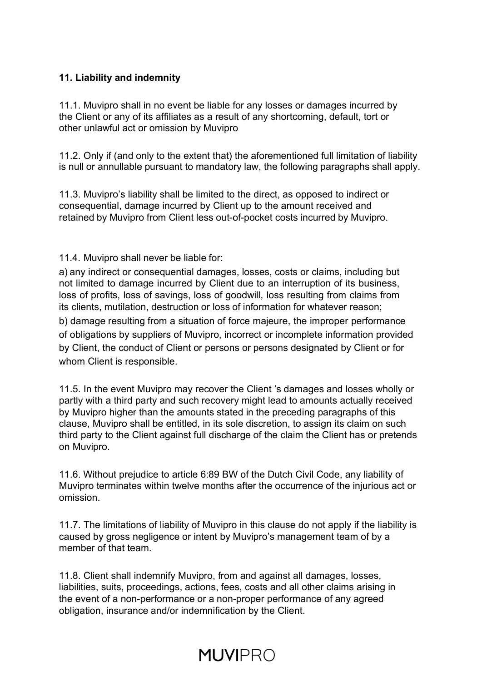#### **11. Liability and indemnity**

11.1. Muvipro shall in no event be liable for any losses or damages incurred by the Client or any of its affiliates as a result of any shortcoming, default, tort or other unlawful act or omission by Muvipro

11.2. Only if (and only to the extent that) the aforementioned full limitation of liability is null or annullable pursuant to mandatory law, the following paragraphs shall apply.

11.3. Muvipro's liability shall be limited to the direct, as opposed to indirect or consequential, damage incurred by Client up to the amount received and retained by Muvipro from Client less out-of-pocket costs incurred by Muvipro.

#### 11.4. Muvipro shall never be liable for:

a) any indirect or consequential damages, losses, costs or claims, including but not limited to damage incurred by Client due to an interruption of its business, loss of profits, loss of savings, loss of goodwill, loss resulting from claims from its clients, mutilation, destruction or loss of information for whatever reason; b) damage resulting from a situation of force majeure, the improper performance of obligations by suppliers of Muvipro, incorrect or incomplete information provided

by Client, the conduct of Client or persons or persons designated by Client or for whom Client is responsible.

11.5. In the event Muvipro may recover the Client 's damages and losses wholly or partly with a third party and such recovery might lead to amounts actually received by Muvipro higher than the amounts stated in the preceding paragraphs of this clause, Muvipro shall be entitled, in its sole discretion, to assign its claim on such third party to the Client against full discharge of the claim the Client has or pretends on Muvipro.

11.6. Without prejudice to article 6:89 BW of the Dutch Civil Code, any liability of Muvipro terminates within twelve months after the occurrence of the injurious act or omission.

11.7. The limitations of liability of Muvipro in this clause do not apply if the liability is caused by gross negligence or intent by Muvipro's management team of by a member of that team.

11.8. Client shall indemnify Muvipro, from and against all damages, losses, liabilities, suits, proceedings, actions, fees, costs and all other claims arising in the event of a non-performance or a non-proper performance of any agreed obligation, insurance and/or indemnification by the Client.